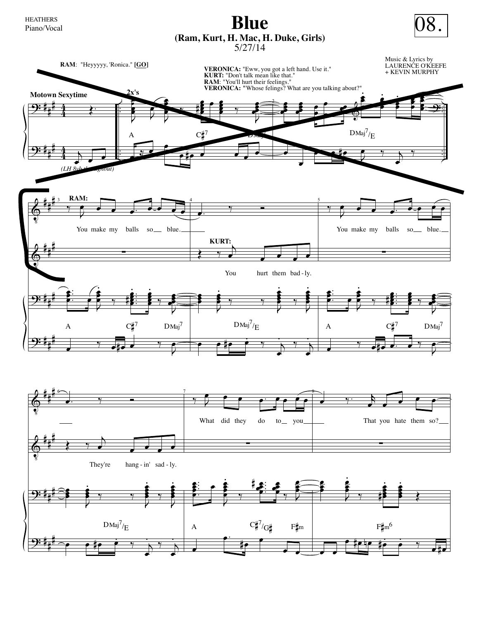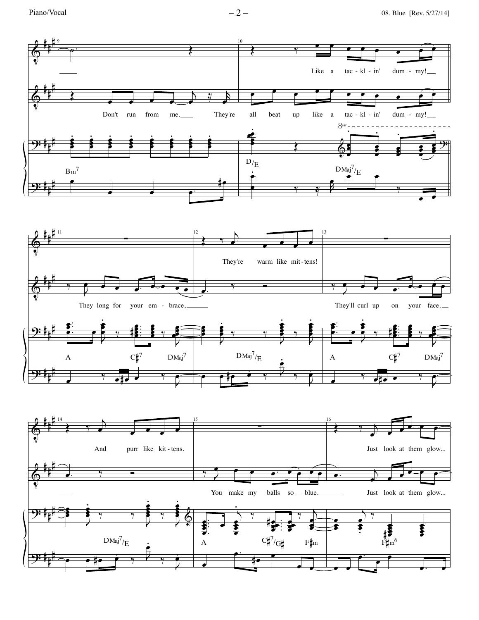